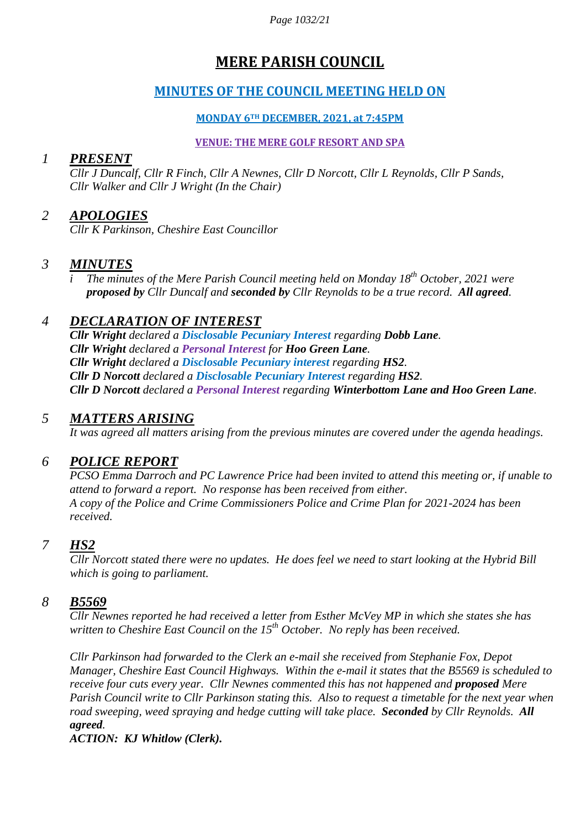*Page 1032/21*

# **MERE PARISH COUNCIL**

## **MINUTES OF THE COUNCIL MEETING HELD ON**

### **MONDAY 6TH DECEMBER, 2021, at 7:45PM**

#### **VENUE: THE MERE GOLF RESORT AND SPA**

### *1 PRESENT*

*Cllr J Duncalf, Cllr R Finch, Cllr A Newnes, Cllr D Norcott, Cllr L Reynolds, Cllr P Sands, Cllr Walker and Cllr J Wright (In the Chair)*

## *2 APOLOGIES*

*Cllr K Parkinson, Cheshire East Councillor*

### *3 MINUTES*

*i The minutes of the Mere Parish Council meeting held on Monday 18 th October, 2021 were proposed by Cllr Duncalf and seconded by Cllr Reynolds to be a true record. All agreed.*

## *4 DECLARATION OF INTEREST*

*Cllr Wright declared a Disclosable Pecuniary Interest regarding Dobb Lane. Cllr Wright declared a Personal Interest for Hoo Green Lane. Cllr Wright declared a Disclosable Pecuniary interest regarding HS2. Cllr D Norcott declared a Disclosable Pecuniary Interest regarding HS2. Cllr D Norcott declared a Personal Interest regarding Winterbottom Lane and Hoo Green Lane.* 

## *5 MATTERS ARISING*

*It was agreed all matters arising from the previous minutes are covered under the agenda headings.*

## *6 POLICE REPORT*

*PCSO Emma Darroch and PC Lawrence Price had been invited to attend this meeting or, if unable to attend to forward a report. No response has been received from either. A copy of the Police and Crime Commissioners Police and Crime Plan for 2021-2024 has been received.*

## *7 HS2*

*Cllr Norcott stated there were no updates. He does feel we need to start looking at the Hybrid Bill which is going to parliament.*

## *8 B5569*

*Cllr Newnes reported he had received a letter from Esther McVey MP in which she states she has written to Cheshire East Council on the 15<sup>th</sup> October. No reply has been received.* 

*Cllr Parkinson had forwarded to the Clerk an e-mail she received from Stephanie Fox, Depot Manager, Cheshire East Council Highways. Within the e-mail it states that the B5569 is scheduled to receive four cuts every year. Cllr Newnes commented this has not happened and proposed Mere Parish Council write to Cllr Parkinson stating this. Also to request a timetable for the next year when road sweeping, weed spraying and hedge cutting will take place. Seconded by Cllr Reynolds. All agreed.*

*ACTION: KJ Whitlow (Clerk).*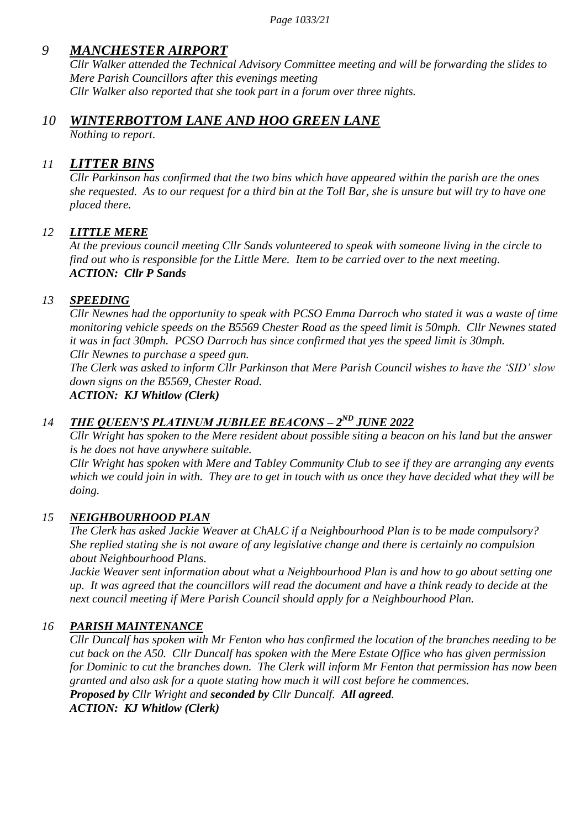## *9 MANCHESTER AIRPORT*

*Cllr Walker attended the Technical Advisory Committee meeting and will be forwarding the slides to Mere Parish Councillors after this evenings meeting Cllr Walker also reported that she took part in a forum over three nights.*

### *10 WINTERBOTTOM LANE AND HOO GREEN LANE*

*Nothing to report.*

### *11 LITTER BINS*

*Cllr Parkinson has confirmed that the two bins which have appeared within the parish are the ones she requested. As to our request for a third bin at the Toll Bar, she is unsure but will try to have one placed there.*

### *12 LITTLE MERE*

*At the previous council meeting Cllr Sands volunteered to speak with someone living in the circle to find out who is responsible for the Little Mere. Item to be carried over to the next meeting. ACTION: Cllr P Sands* 

### *13 SPEEDING*

*Cllr Newnes had the opportunity to speak with PCSO Emma Darroch who stated it was a waste of time monitoring vehicle speeds on the B5569 Chester Road as the speed limit is 50mph. Cllr Newnes stated it was in fact 30mph. PCSO Darroch has since confirmed that yes the speed limit is 30mph. Cllr Newnes to purchase a speed gun.*

*The Clerk was asked to inform Cllr Parkinson that Mere Parish Council wishes to have the "SID" slow down signs on the B5569, Chester Road.*

*ACTION: KJ Whitlow (Clerk)*

### *14 THE QUEEN'S PLATINUM JUBILEE BEACONS – 2<sup>ND</sup> JUNE 2022*

*Cllr Wright has spoken to the Mere resident about possible siting a beacon on his land but the answer is he does not have anywhere suitable.*

*Cllr Wright has spoken with Mere and Tabley Community Club to see if they are arranging any events which we could join in with. They are to get in touch with us once they have decided what they will be doing.*

#### *15 NEIGHBOURHOOD PLAN*

*The Clerk has asked Jackie Weaver at ChALC if a Neighbourhood Plan is to be made compulsory? She replied stating she is not aware of any legislative change and there is certainly no compulsion about Neighbourhood Plans.*

*Jackie Weaver sent information about what a Neighbourhood Plan is and how to go about setting one up. It was agreed that the councillors will read the document and have a think ready to decide at the next council meeting if Mere Parish Council should apply for a Neighbourhood Plan.*

#### *16 PARISH MAINTENANCE*

*Cllr Duncalf has spoken with Mr Fenton who has confirmed the location of the branches needing to be cut back on the A50. Cllr Duncalf has spoken with the Mere Estate Office who has given permission for Dominic to cut the branches down. The Clerk will inform Mr Fenton that permission has now been granted and also ask for a quote stating how much it will cost before he commences. Proposed by Cllr Wright and seconded by Cllr Duncalf. All agreed. ACTION: KJ Whitlow (Clerk)*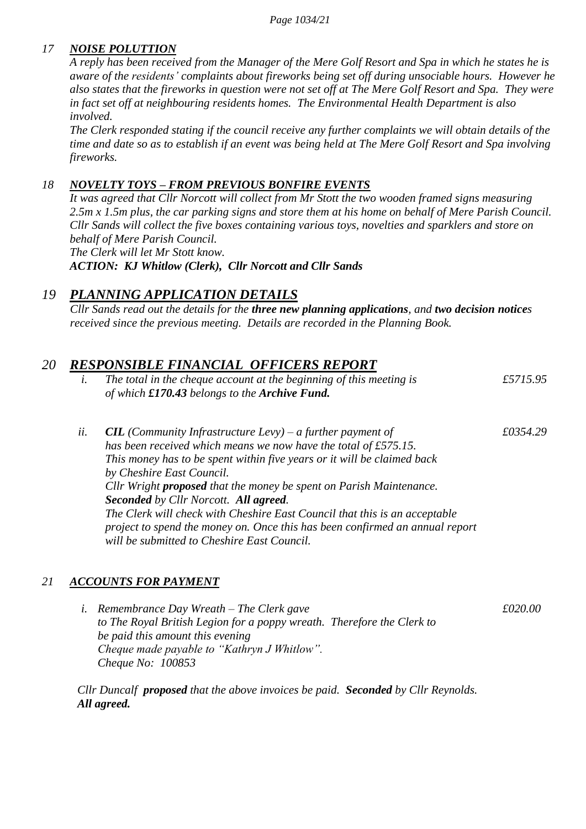### *17 NOISE POLUTTION*

*A reply has been received from the Manager of the Mere Golf Resort and Spa in which he states he is aware of the residents" complaints about fireworks being set off during unsociable hours. However he also states that the fireworks in question were not set off at The Mere Golf Resort and Spa. They were in fact set off at neighbouring residents homes. The Environmental Health Department is also involved.*

*The Clerk responded stating if the council receive any further complaints we will obtain details of the time and date so as to establish if an event was being held at The Mere Golf Resort and Spa involving fireworks.*

#### *18 NOVELTY TOYS – FROM PREVIOUS BONFIRE EVENTS*

*It was agreed that Cllr Norcott will collect from Mr Stott the two wooden framed signs measuring 2.5m x 1.5m plus, the car parking signs and store them at his home on behalf of Mere Parish Council. Cllr Sands will collect the five boxes containing various toys, novelties and sparklers and store on behalf of Mere Parish Council.*

*The Clerk will let Mr Stott know.*

*ACTION: KJ Whitlow (Clerk), Cllr Norcott and Cllr Sands*

### *19 PLANNING APPLICATION DETAILS*

*Cllr Sands read out the details for the three new planning applications, and two decision notices received since the previous meeting. Details are recorded in the Planning Book.*

### *20 RESPONSIBLE FINANCIAL OFFICERS REPORT*

- *i. The total in the cheque account at the beginning of this meeting is £5715.95 of which £170.43 belongs to the Archive Fund.*
- *ii. CIL (Community Infrastructure Levy) – a further payment of £0354.29 has been received which means we now have the total of £575.15. This money has to be spent within five years or it will be claimed back by Cheshire East Council. Cllr Wright proposed that the money be spent on Parish Maintenance. Seconded by Cllr Norcott. All agreed. The Clerk will check with Cheshire East Council that this is an acceptable project to spend the money on. Once this has been confirmed an annual report will be submitted to Cheshire East Council.*

#### *21 ACCOUNTS FOR PAYMENT*

*i.* Remembrance Day Wreath – The Clerk gave  $\epsilon$  6020.00 *to The Royal British Legion for a poppy wreath. Therefore the Clerk to be paid this amount this evening Cheque made payable to "Kathryn J Whitlow". Cheque No: 100853*

*Cllr Duncalf proposed that the above invoices be paid. Seconded by Cllr Reynolds. All agreed.*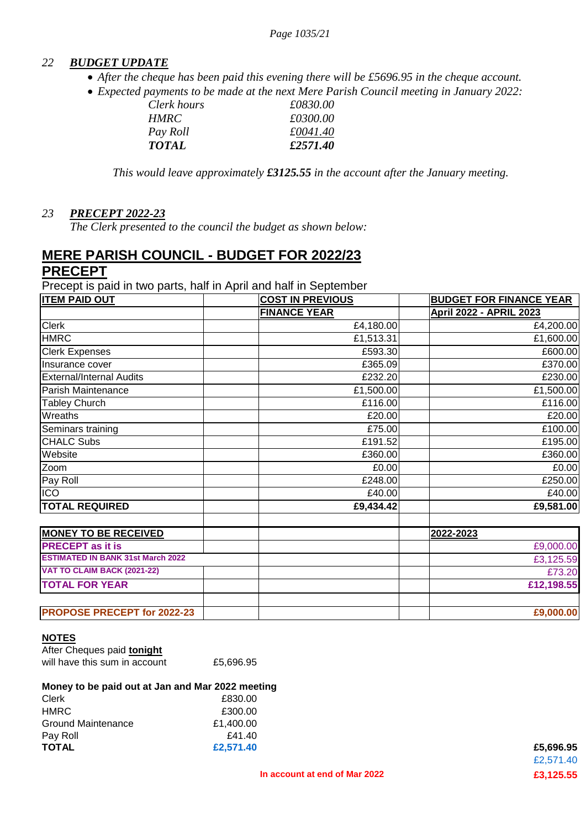#### *22 BUDGET UPDATE*

- *After the cheque has been paid this evening there will be £5696.95 in the cheque account.*
- *Expected payments to be made at the next Mere Parish Council meeting in January 2022:*

| <i>HMRC</i>  | £0300.00 |
|--------------|----------|
| Pay Roll     | £0041.40 |
| <i>TOTAL</i> | £2571.40 |

*This would leave approximately £3125.55 in the account after the January meeting.*

#### *23 PRECEPT 2022-23*

*The Clerk presented to the council the budget as shown below:*

### **MERE PARISH COUNCIL - BUDGET FOR 2022/23 PRECEPT**

Precept is paid in two parts, half in April and half in September

| <b>ITEM PAID OUT</b>                     | <b>COST IN PREVIOUS</b> | <b>BUDGET FOR FINANCE YEAR</b> |
|------------------------------------------|-------------------------|--------------------------------|
|                                          | <b>FINANCE YEAR</b>     | April 2022 - APRIL 2023        |
| <b>Clerk</b>                             | £4,180.00               | £4,200.00                      |
| <b>HMRC</b>                              | £1,513.31               | £1,600.00                      |
| <b>Clerk Expenses</b>                    | £593.30                 | £600.00                        |
| Insurance cover                          | £365.09                 | £370.00                        |
| <b>External/Internal Audits</b>          | £232.20                 | £230.00                        |
| Parish Maintenance                       | £1,500.00               | £1,500.00                      |
| <b>Tabley Church</b>                     | £116.00                 | £116.00                        |
| Wreaths                                  | £20.00                  | £20.00                         |
| Seminars training                        | £75.00                  | £100.00                        |
| <b>CHALC Subs</b>                        | £191.52                 | £195.00                        |
| Website                                  | £360.00                 | £360.00                        |
| Zoom                                     | £0.00                   | £0.00                          |
| Pay Roll                                 | £248.00                 | £250.00                        |
| <b>ICO</b>                               | £40.00                  | £40.00                         |
| <b>TOTAL REQUIRED</b>                    | £9,434.42               | £9,581.00                      |
| <b>MONEY TO BE RECEIVED</b>              |                         | 2022-2023                      |
| <b>PRECEPT</b> as it is                  |                         | £9,000.00                      |
| <b>ESTIMATED IN BANK 31st March 2022</b> |                         | £3,125.59                      |
| VAT TO CLAIM BACK (2021-22)              |                         | £73.20                         |
| <b>TOTAL FOR YEAR</b>                    |                         | £12,198.55                     |
| <b>PROPOSE PRECEPT for 2022-23</b>       |                         | £9,000.00                      |

#### **NOTES**

| After Cheques paid tonight    |           |
|-------------------------------|-----------|
| will have this sum in account | £5,696.95 |

#### **Money to be paid out at Jan and Mar 2022 meeting**

| <b>TOTAL</b>       | £2,571.40 | £5,696.95 |
|--------------------|-----------|-----------|
| Pay Roll           | £41.40    |           |
| Ground Maintenance | £1,400.00 |           |
| <b>HMRC</b>        | £300.00   |           |
| Clerk              | £830.00   |           |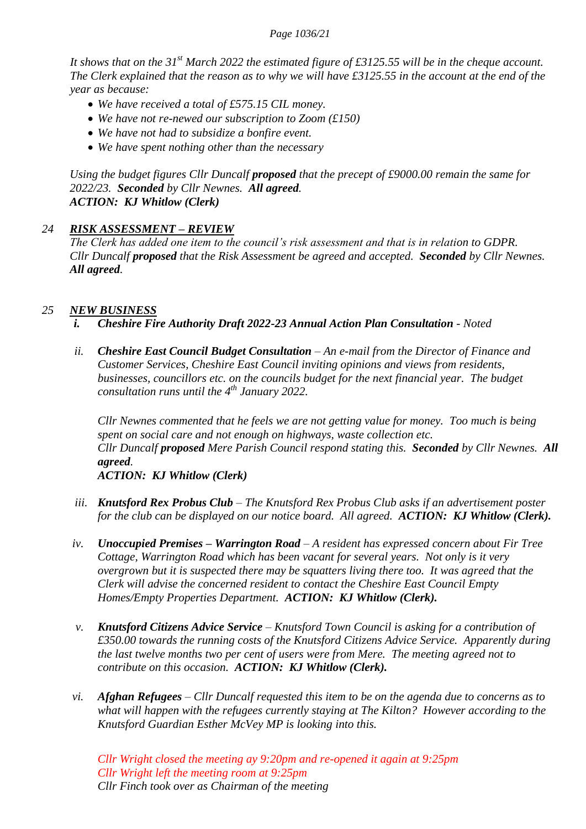#### *Page 1036/21*

*It shows that on the 31st March 2022 the estimated figure of £3125.55 will be in the cheque account. The Clerk explained that the reason as to why we will have £3125.55 in the account at the end of the year as because:*

- *We have received a total of £575.15 CIL money.*
- *We have not re-newed our subscription to Zoom (£150)*
- *We have not had to subsidize a bonfire event.*
- *We have spent nothing other than the necessary*

*Using the budget figures Cllr Duncalf proposed that the precept of £9000.00 remain the same for 2022/23. Seconded by Cllr Newnes. All agreed. ACTION: KJ Whitlow (Clerk)*

#### *24 RISK ASSESSMENT – REVIEW*

*The Clerk has added one item to the council"s risk assessment and that is in relation to GDPR. Cllr Duncalf proposed that the Risk Assessment be agreed and accepted. Seconded by Cllr Newnes. All agreed.*

#### *25 NEW BUSINESS*

- *i. Cheshire Fire Authority Draft 2022-23 Annual Action Plan Consultation - Noted*
- *ii. Cheshire East Council Budget Consultation – An e-mail from the Director of Finance and Customer Services, Cheshire East Council inviting opinions and views from residents, businesses, councillors etc. on the councils budget for the next financial year. The budget consultation runs until the 4th January 2022.*

*Cllr Newnes commented that he feels we are not getting value for money. Too much is being spent on social care and not enough on highways, waste collection etc. Cllr Duncalf proposed Mere Parish Council respond stating this. Seconded by Cllr Newnes. All agreed. ACTION: KJ Whitlow (Clerk)*

- *iii. Knutsford Rex Probus Club – The Knutsford Rex Probus Club asks if an advertisement poster for the club can be displayed on our notice board. All agreed. ACTION: KJ Whitlow (Clerk).*
- *iv. Unoccupied Premises – Warrington Road – A resident has expressed concern about Fir Tree Cottage, Warrington Road which has been vacant for several years. Not only is it very overgrown but it is suspected there may be squatters living there too. It was agreed that the Clerk will advise the concerned resident to contact the Cheshire East Council Empty Homes/Empty Properties Department. ACTION: KJ Whitlow (Clerk).*
- *v. Knutsford Citizens Advice Service – Knutsford Town Council is asking for a contribution of £350.00 towards the running costs of the Knutsford Citizens Advice Service. Apparently during the last twelve months two per cent of users were from Mere. The meeting agreed not to contribute on this occasion. ACTION: KJ Whitlow (Clerk).*
- *vi. Afghan Refugees – Cllr Duncalf requested this item to be on the agenda due to concerns as to what will happen with the refugees currently staying at The Kilton? However according to the Knutsford Guardian Esther McVey MP is looking into this.*

*Cllr Wright closed the meeting ay 9:20pm and re-opened it again at 9:25pm Cllr Wright left the meeting room at 9:25pm Cllr Finch took over as Chairman of the meeting*